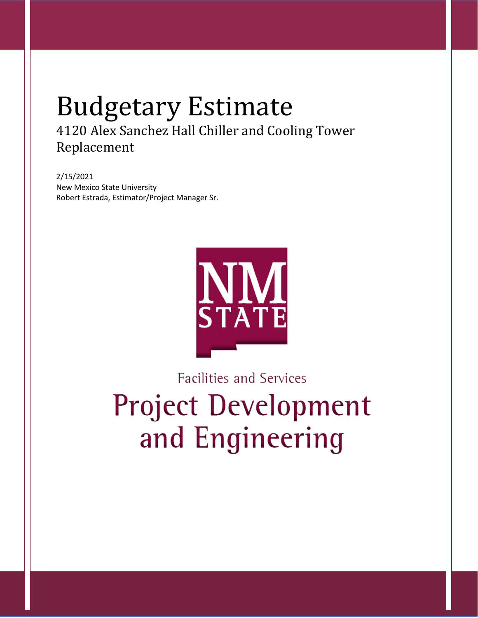# Budgetary Estimate 4120 Alex Sanchez Hall Chiller and Cooling Tower Replacement

2/15/2021 New Mexico State University Robert Estrada, Estimator/Project Manager Sr.



**Facilities and Services Project Development** and Engineering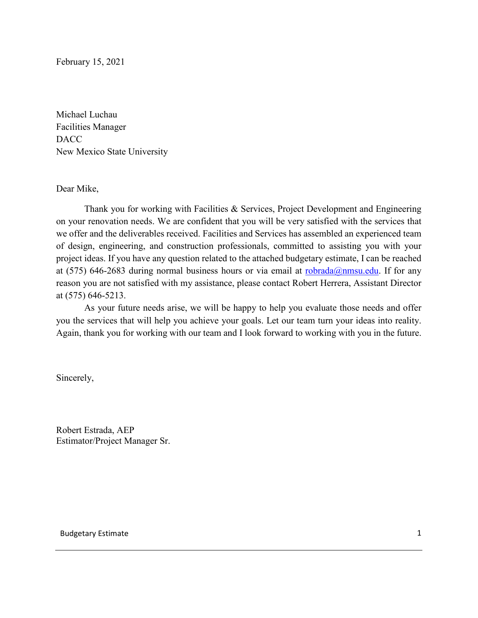February 15, 2021

Michael Luchau Facilities Manager DACC New Mexico State University

Dear Mike,

Thank you for working with Facilities & Services, Project Development and Engineering on your renovation needs. We are confident that you will be very satisfied with the services that we offer and the deliverables received. Facilities and Services has assembled an experienced team of design, engineering, and construction professionals, committed to assisting you with your project ideas. If you have any question related to the attached budgetary estimate, I can be reached at (575) 646-2683 during normal business hours or via email at [robrada@nmsu.edu.](mailto:robrada@nmsu.edu) If for any reason you are not satisfied with my assistance, please contact Robert Herrera, Assistant Director at (575) 646-5213.

As your future needs arise, we will be happy to help you evaluate those needs and offer you the services that will help you achieve your goals. Let our team turn your ideas into reality. Again, thank you for working with our team and I look forward to working with you in the future.

Sincerely,

Robert Estrada, AEP Estimator/Project Manager Sr.

Budgetary Estimate 1 and 1 and 1 and 1 and 1 and 1 and 1 and 1 and 1 and 1 and 1 and 1 and 1 and 1 and 1 and 1 and 1 and 1 and 1 and 1 and 1 and 1 and 1 and 1 and 1 and 1 and 1 and 1 and 1 and 1 and 1 and 1 and 1 and 1 and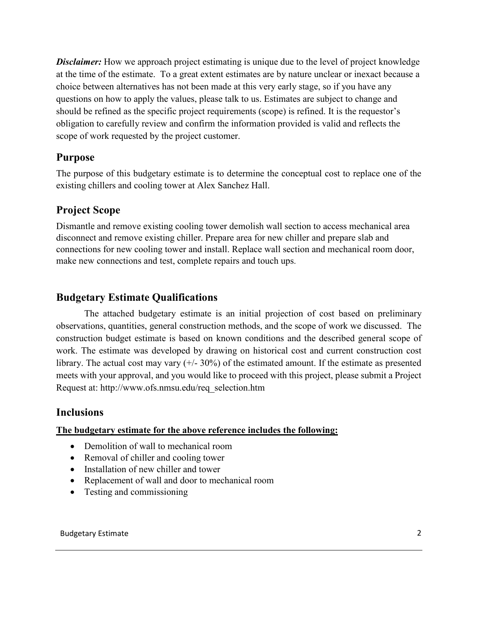**Disclaimer:** How we approach project estimating is unique due to the level of project knowledge at the time of the estimate. To a great extent estimates are by nature unclear or inexact because a choice between alternatives has not been made at this very early stage, so if you have any questions on how to apply the values, please talk to us. Estimates are subject to change and should be refined as the specific project requirements (scope) is refined. It is the requestor's obligation to carefully review and confirm the information provided is valid and reflects the scope of work requested by the project customer.

## **Purpose**

The purpose of this budgetary estimate is to determine the conceptual cost to replace one of the existing chillers and cooling tower at Alex Sanchez Hall.

## **Project Scope**

Dismantle and remove existing cooling tower demolish wall section to access mechanical area disconnect and remove existing chiller. Prepare area for new chiller and prepare slab and connections for new cooling tower and install. Replace wall section and mechanical room door, make new connections and test, complete repairs and touch ups.

## **Budgetary Estimate Qualifications**

The attached budgetary estimate is an initial projection of cost based on preliminary observations, quantities, general construction methods, and the scope of work we discussed. The construction budget estimate is based on known conditions and the described general scope of work. The estimate was developed by drawing on historical cost and current construction cost library. The actual cost may vary  $(+/- 30\%)$  of the estimated amount. If the estimate as presented meets with your approval, and you would like to proceed with this project, please submit a Project Request at: http://www.ofs.nmsu.edu/req\_selection.htm

### **Inclusions**

### **The budgetary estimate for the above reference includes the following:**

- Demolition of wall to mechanical room
- Removal of chiller and cooling tower
- Installation of new chiller and tower
- Replacement of wall and door to mechanical room
- Testing and commissioning

#### Budgetary Estimate 2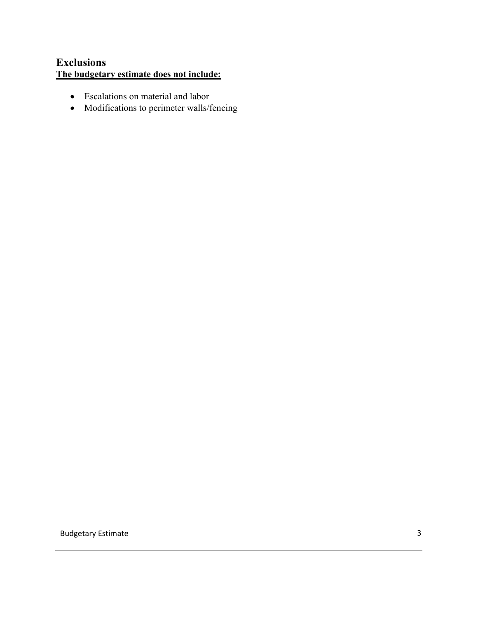# **Exclusions The budgetary estimate does not include:**

- Escalations on material and labor
- Modifications to perimeter walls/fencing

Budgetary Estimate 33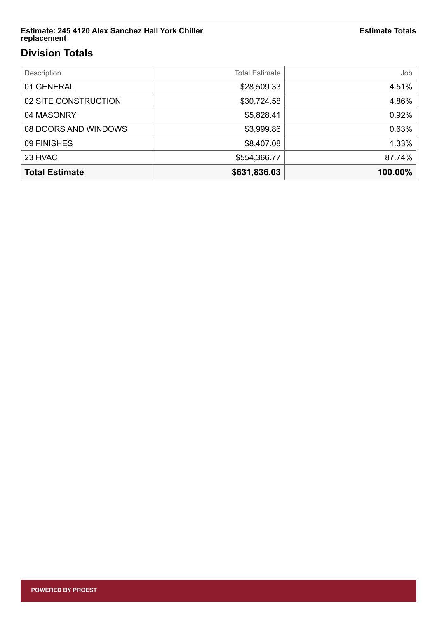#### **Estimate: 245 4120 Alex Sanchez Hall York Chiller replacement**

# **Division Totals**

| Description           | <b>Total Estimate</b> | dol     |
|-----------------------|-----------------------|---------|
| 01 GENERAL            | \$28,509.33           | 4.51%   |
| 02 SITE CONSTRUCTION  | \$30,724.58           | 4.86%   |
| 04 MASONRY            | \$5,828.41            | 0.92%   |
| 08 DOORS AND WINDOWS  | \$3,999.86            | 0.63%   |
| 09 FINISHES           | \$8,407.08            | 1.33%   |
| 23 HVAC               | \$554,366.77          | 87.74%  |
| <b>Total Estimate</b> | \$631,836.03          | 100.00% |